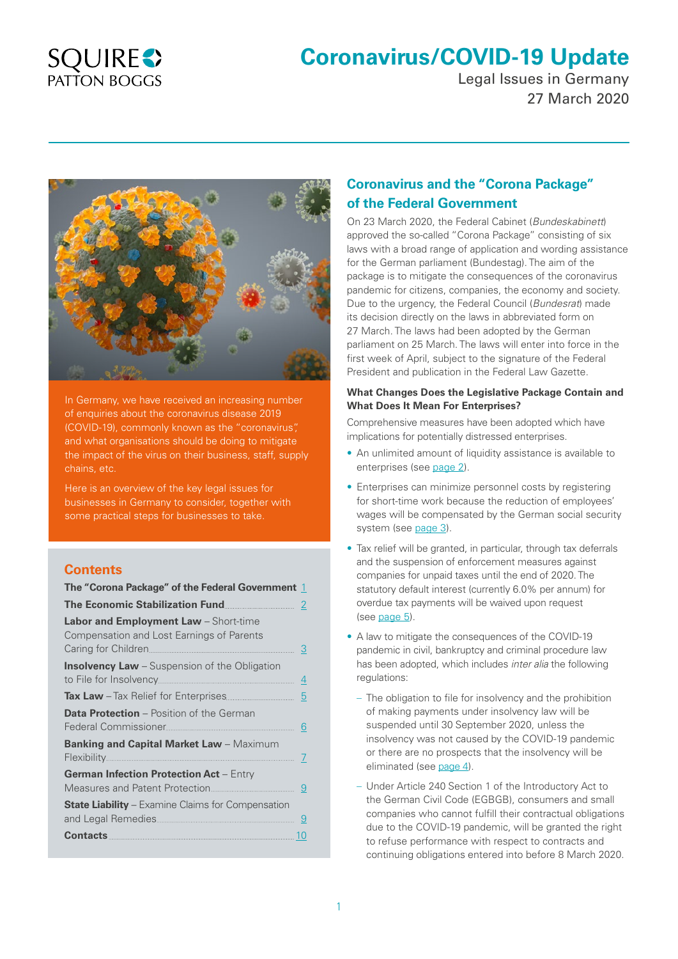## **SQUIRES** PATTON BOGGS

# **Coronavirus/COVID-19 Update**

Legal Issues in Germany 27 March 2020



In Germany, we have received an increasing number of enquiries about the coronavirus disease 2019 (COVID-19), commonly known as the "coronavirus", and what organisations should be doing to mitigate the impact of the virus on their business, staff, supply chains, etc.

Here is an overview of the key legal issues for businesses in Germany to consider, together with some practical steps for businesses to take.

## **Contents**

| The "Corona Package" of the Federal Government 1                                                                       |  |
|------------------------------------------------------------------------------------------------------------------------|--|
| The Economic Stabilization Fund                                                                                        |  |
| <b>Labor and Employment Law</b> - Short-time<br>Compensation and Lost Earnings of Parents<br>Caring for Children.<br>3 |  |
| <b>Insolvency Law</b> – Suspension of the Obligation<br>to File for Insolvency.<br>4                                   |  |
|                                                                                                                        |  |
| <b>Data Protection</b> – Position of the German<br>Federal Commissioner.<br>6                                          |  |
| <b>Banking and Capital Market Law</b> – Maximum<br>Flexibility<br>-7                                                   |  |
| German Infection Protection Act - Entry<br>-9                                                                          |  |
| <b>State Liability</b> – Examine Claims for Compensation<br>9                                                          |  |
| <b>Contacts</b><br>10                                                                                                  |  |

## **Coronavirus and the "Corona Package" of the Federal Government**

On 23 March 2020, the Federal Cabinet (*Bundeskabinett*) approved the so-called "Corona Package" consisting of six laws with a broad range of application and wording assistance for the German parliament (Bundestag). The aim of the package is to mitigate the consequences of the coronavirus pandemic for citizens, companies, the economy and society. Due to the urgency, the Federal Council (*Bundesrat*) made its decision directly on the laws in abbreviated form on 27 March. The laws had been adopted by the German parliament on 25 March. The laws will enter into force in the first week of April, subject to the signature of the Federal President and publication in the Federal Law Gazette.

#### **What Changes Does the Legislative Package Contain and What Does It Mean For Enterprises?**

Comprehensive measures have been adopted which have implications for potentially distressed enterprises.

- An unlimited amount of liquidity assistance is available to enterprises (see [page 2\)](#page-1-0).
- Enterprises can minimize personnel costs by registering for short-time work because the reduction of employees' wages will be compensated by the German social security system (see [page 3\)](#page-2-0).
- Tax relief will be granted, in particular, through tax deferrals and the suspension of enforcement measures against companies for unpaid taxes until the end of 2020. The statutory default interest (currently 6.0% per annum) for overdue tax payments will be waived upon request (see [page 5\)](#page-4-0).
- A law to mitigate the consequences of the COVID-19 pandemic in civil, bankruptcy and criminal procedure law has been adopted, which includes *inter alia* the following regulations:
	- The obligation to file for insolvency and the prohibition of making payments under insolvency law will be suspended until 30 September 2020, unless the insolvency was not caused by the COVID-19 pandemic or there are no prospects that the insolvency will be eliminated (see [page 4](#page-3-0)).
	- Under Article 240 Section 1 of the Introductory Act to the German Civil Code (EGBGB), consumers and small companies who cannot fulfill their contractual obligations due to the COVID-19 pandemic, will be granted the right to refuse performance with respect to contracts and continuing obligations entered into before 8 March 2020.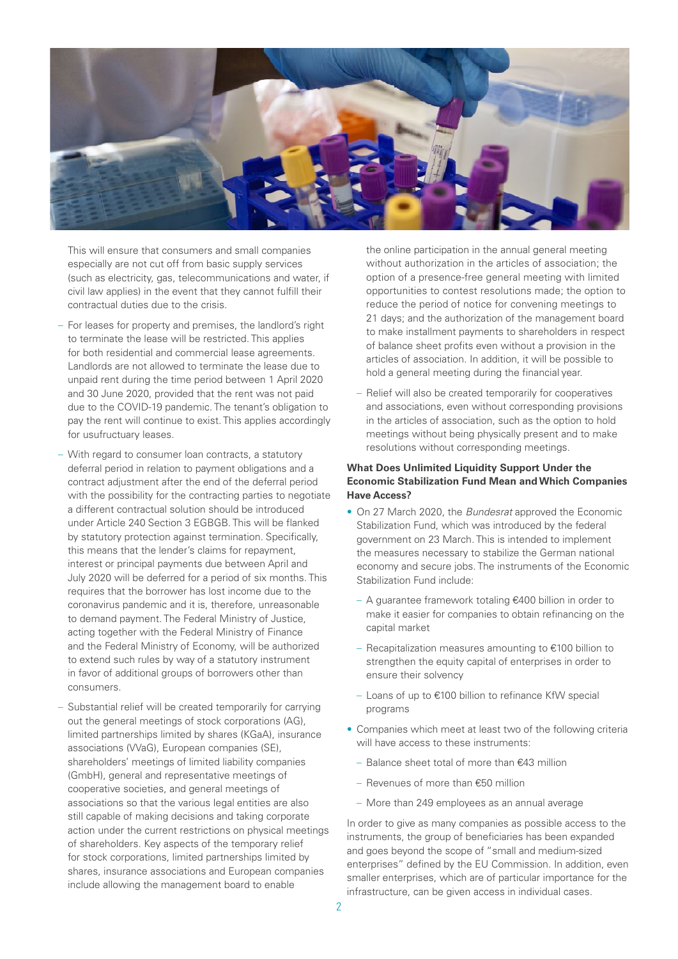<span id="page-1-0"></span>

This will ensure that consumers and small companies especially are not cut off from basic supply services (such as electricity, gas, telecommunications and water, if civil law applies) in the event that they cannot fulfill their contractual duties due to the crisis.

- For leases for property and premises, the landlord's right to terminate the lease will be restricted. This applies for both residential and commercial lease agreements. Landlords are not allowed to terminate the lease due to unpaid rent during the time period between 1 April 2020 and 30 June 2020, provided that the rent was not paid due to the COVID-19 pandemic. The tenant's obligation to pay the rent will continue to exist. This applies accordingly for usufructuary leases.
- With regard to consumer loan contracts, a statutory deferral period in relation to payment obligations and a contract adjustment after the end of the deferral period with the possibility for the contracting parties to negotiate a different contractual solution should be introduced under Article 240 Section 3 EGBGB. This will be flanked by statutory protection against termination. Specifically, this means that the lender's claims for repayment, interest or principal payments due between April and July 2020 will be deferred for a period of six months. This requires that the borrower has lost income due to the coronavirus pandemic and it is, therefore, unreasonable to demand payment. The Federal Ministry of Justice, acting together with the Federal Ministry of Finance and the Federal Ministry of Economy, will be authorized to extend such rules by way of a statutory instrument in favor of additional groups of borrowers other than consumers.
- Substantial relief will be created temporarily for carrying out the general meetings of stock corporations (AG), limited partnerships limited by shares (KGaA), insurance associations (VVaG), European companies (SE), shareholders' meetings of limited liability companies (GmbH), general and representative meetings of cooperative societies, and general meetings of associations so that the various legal entities are also still capable of making decisions and taking corporate action under the current restrictions on physical meetings of shareholders. Key aspects of the temporary relief for stock corporations, limited partnerships limited by shares, insurance associations and European companies include allowing the management board to enable

the online participation in the annual general meeting without authorization in the articles of association; the option of a presence-free general meeting with limited opportunities to contest resolutions made; the option to reduce the period of notice for convening meetings to 21 days; and the authorization of the management board to make installment payments to shareholders in respect of balance sheet profits even without a provision in the articles of association. In addition, it will be possible to hold a general meeting during the financial year.

– Relief will also be created temporarily for cooperatives and associations, even without corresponding provisions in the articles of association, such as the option to hold meetings without being physically present and to make resolutions without corresponding meetings.

#### **What Does Unlimited Liquidity Support Under the Economic Stabilization Fund Mean and Which Companies Have Access?**

- On 27 March 2020, the *Bundesrat* approved the Economic Stabilization Fund, which was introduced by the federal government on 23 March. This is intended to implement the measures necessary to stabilize the German national economy and secure jobs. The instruments of the Economic Stabilization Fund include:
	- A guarantee framework totaling €400 billion in order to make it easier for companies to obtain refinancing on the capital market
	- Recapitalization measures amounting to €100 billion to strengthen the equity capital of enterprises in order to ensure their solvency
	- Loans of up to €100 billion to refinance KfW special programs
- Companies which meet at least two of the following criteria will have access to these instruments:
	- Balance sheet total of more than €43 million
	- Revenues of more than €50 million
	- More than 249 employees as an annual average

In order to give as many companies as possible access to the instruments, the group of beneficiaries has been expanded and goes beyond the scope of "small and medium-sized enterprises" defined by the EU Commission. In addition, even smaller enterprises, which are of particular importance for the infrastructure, can be given access in individual cases.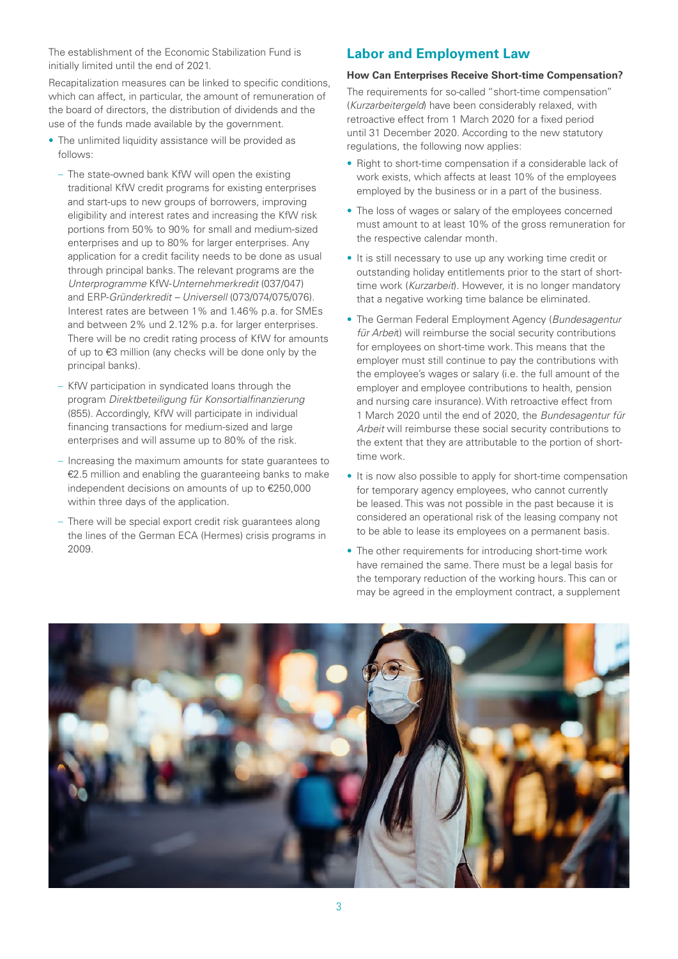<span id="page-2-0"></span>The establishment of the Economic Stabilization Fund is initially limited until the end of 2021.

Recapitalization measures can be linked to specific conditions, which can affect, in particular, the amount of remuneration of the board of directors, the distribution of dividends and the use of the funds made available by the government.

- The unlimited liquidity assistance will be provided as follows:
	- The state-owned bank KfW will open the existing traditional KfW credit programs for existing enterprises and start-ups to new groups of borrowers, improving eligibility and interest rates and increasing the KfW risk portions from 50% to 90% for small and medium-sized enterprises and up to 80% for larger enterprises. Any application for a credit facility needs to be done as usual through principal banks. The relevant programs are the *Unterprogramme* KfW-*Unternehmerkredit* (037/047) and ERP-*Gründerkredit – Universell* (073/074/075/076). Interest rates are between 1% and 1.46% p.a. for SMEs and between 2% und 2.12% p.a. for larger enterprises. There will be no credit rating process of KfW for amounts of up to €3 million (any checks will be done only by the principal banks).
	- KfW participation in syndicated loans through the program *Direktbeteiligung für Konsortialfinanzierung* (855). Accordingly, KfW will participate in individual financing transactions for medium-sized and large enterprises and will assume up to 80% of the risk.
	- Increasing the maximum amounts for state guarantees to €2.5 million and enabling the guaranteeing banks to make independent decisions on amounts of up to €250,000 within three days of the application.
	- There will be special export credit risk guarantees along the lines of the German ECA (Hermes) crisis programs in 2009.

## **Labor and Employment Law**

#### **How Can Enterprises Receive Short-time Compensation?**

The requirements for so-called "short-time compensation" (*Kurzarbeitergeld*) have been considerably relaxed, with retroactive effect from 1 March 2020 for a fixed period until 31 December 2020. According to the new statutory regulations, the following now applies:

- Right to short-time compensation if a considerable lack of work exists, which affects at least 10% of the employees employed by the business or in a part of the business.
- The loss of wages or salary of the employees concerned must amount to at least 10% of the gross remuneration for the respective calendar month.
- It is still necessary to use up any working time credit or outstanding holiday entitlements prior to the start of shorttime work (*Kurzarbeit*). However, it is no longer mandatory that a negative working time balance be eliminated.
- The German Federal Employment Agency (*Bundesagentur für Arbei*t) will reimburse the social security contributions for employees on short-time work. This means that the employer must still continue to pay the contributions with the employee's wages or salary (i.e. the full amount of the employer and employee contributions to health, pension and nursing care insurance). With retroactive effect from 1 March 2020 until the end of 2020, the *Bundesagentur für Arbeit* will reimburse these social security contributions to the extent that they are attributable to the portion of shorttime work.
- It is now also possible to apply for short-time compensation for temporary agency employees, who cannot currently be leased. This was not possible in the past because it is considered an operational risk of the leasing company not to be able to lease its employees on a permanent basis.
- The other requirements for introducing short-time work have remained the same. There must be a legal basis for the temporary reduction of the working hours. This can or may be agreed in the employment contract, a supplement

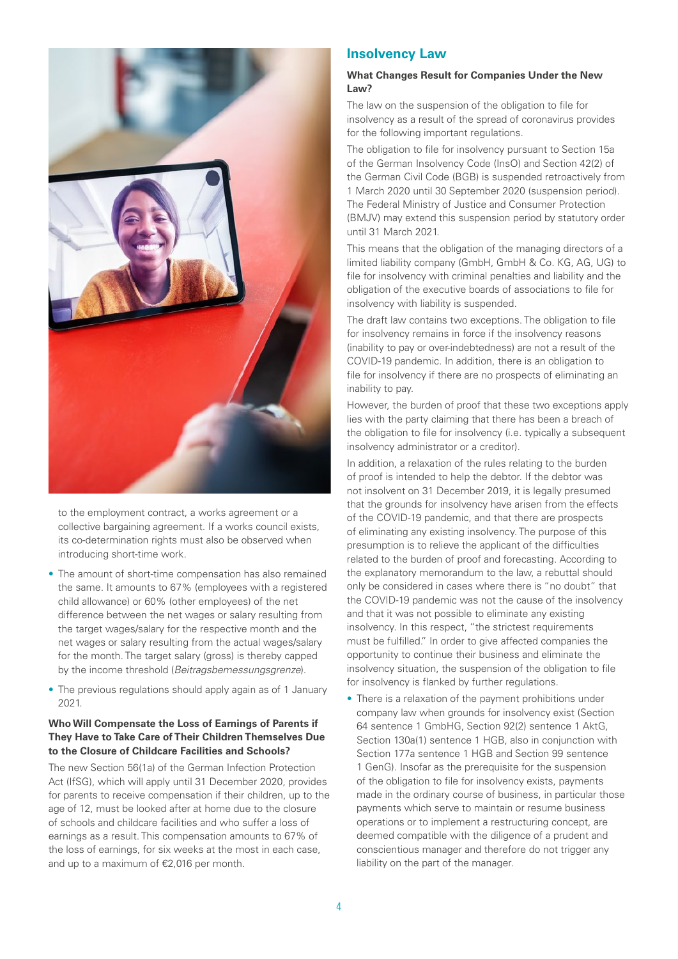<span id="page-3-0"></span>

to the employment contract, a works agreement or a collective bargaining agreement. If a works council exists, its co-determination rights must also be observed when introducing short-time work.

- The amount of short-time compensation has also remained the same. It amounts to 67% (employees with a registered child allowance) or 60% (other employees) of the net difference between the net wages or salary resulting from the target wages/salary for the respective month and the net wages or salary resulting from the actual wages/salary for the month. The target salary (gross) is thereby capped by the income threshold (*Beitragsbemessungsgrenze*).
- The previous regulations should apply again as of 1 January 2021.

#### **Who Will Compensate the Loss of Earnings of Parents if They Have to Take Care of Their Children Themselves Due to the Closure of Childcare Facilities and Schools?**

The new Section 56(1a) of the German Infection Protection Act (IfSG), which will apply until 31 December 2020, provides for parents to receive compensation if their children, up to the age of 12, must be looked after at home due to the closure of schools and childcare facilities and who suffer a loss of earnings as a result. This compensation amounts to 67% of the loss of earnings, for six weeks at the most in each case, and up to a maximum of €2,016 per month.

### **Insolvency Law**

#### **What Changes Result for Companies Under the New Law?**

The law on the suspension of the obligation to file for insolvency as a result of the spread of coronavirus provides for the following important regulations.

The obligation to file for insolvency pursuant to Section 15a of the German Insolvency Code (InsO) and Section 42(2) of the German Civil Code (BGB) is suspended retroactively from 1 March 2020 until 30 September 2020 (suspension period). The Federal Ministry of Justice and Consumer Protection (BMJV) may extend this suspension period by statutory order until 31 March 2021.

This means that the obligation of the managing directors of a limited liability company (GmbH, GmbH & Co. KG, AG, UG) to file for insolvency with criminal penalties and liability and the obligation of the executive boards of associations to file for insolvency with liability is suspended.

The draft law contains two exceptions. The obligation to file for insolvency remains in force if the insolvency reasons (inability to pay or over-indebtedness) are not a result of the COVID-19 pandemic. In addition, there is an obligation to file for insolvency if there are no prospects of eliminating an inability to pay.

However, the burden of proof that these two exceptions apply lies with the party claiming that there has been a breach of the obligation to file for insolvency (i.e. typically a subsequent insolvency administrator or a creditor).

In addition, a relaxation of the rules relating to the burden of proof is intended to help the debtor. If the debtor was not insolvent on 31 December 2019, it is legally presumed that the grounds for insolvency have arisen from the effects of the COVID-19 pandemic, and that there are prospects of eliminating any existing insolvency. The purpose of this presumption is to relieve the applicant of the difficulties related to the burden of proof and forecasting. According to the explanatory memorandum to the law, a rebuttal should only be considered in cases where there is "no doubt" that the COVID-19 pandemic was not the cause of the insolvency and that it was not possible to eliminate any existing insolvency. In this respect, "the strictest requirements must be fulfilled." In order to give affected companies the opportunity to continue their business and eliminate the insolvency situation, the suspension of the obligation to file for insolvency is flanked by further regulations.

• There is a relaxation of the payment prohibitions under company law when grounds for insolvency exist (Section 64 sentence 1 GmbHG, Section 92(2) sentence 1 AktG, Section 130a(1) sentence 1 HGB, also in conjunction with Section 177a sentence 1 HGB and Section 99 sentence 1 GenG). Insofar as the prerequisite for the suspension of the obligation to file for insolvency exists, payments made in the ordinary course of business, in particular those payments which serve to maintain or resume business operations or to implement a restructuring concept, are deemed compatible with the diligence of a prudent and conscientious manager and therefore do not trigger any liability on the part of the manager.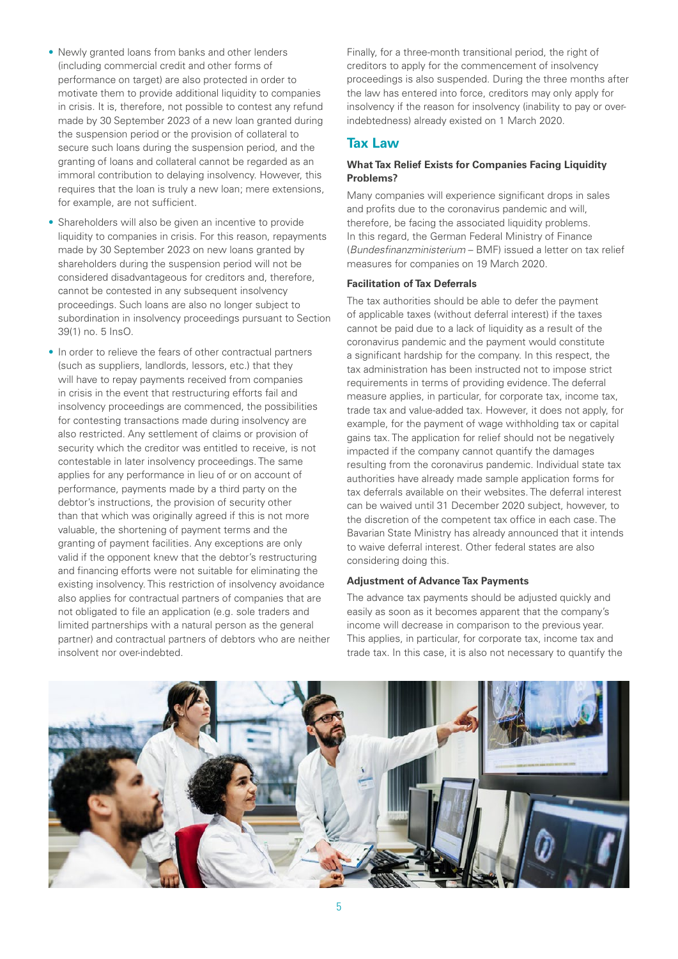- <span id="page-4-0"></span>• Newly granted loans from banks and other lenders (including commercial credit and other forms of performance on target) are also protected in order to motivate them to provide additional liquidity to companies in crisis. It is, therefore, not possible to contest any refund made by 30 September 2023 of a new loan granted during the suspension period or the provision of collateral to secure such loans during the suspension period, and the granting of loans and collateral cannot be regarded as an immoral contribution to delaying insolvency. However, this requires that the loan is truly a new loan; mere extensions, for example, are not sufficient.
- Shareholders will also be given an incentive to provide liquidity to companies in crisis. For this reason, repayments made by 30 September 2023 on new loans granted by shareholders during the suspension period will not be considered disadvantageous for creditors and, therefore, cannot be contested in any subsequent insolvency proceedings. Such loans are also no longer subject to subordination in insolvency proceedings pursuant to Section 39(1) no. 5 InsO.
- In order to relieve the fears of other contractual partners (such as suppliers, landlords, lessors, etc.) that they will have to repay payments received from companies in crisis in the event that restructuring efforts fail and insolvency proceedings are commenced, the possibilities for contesting transactions made during insolvency are also restricted. Any settlement of claims or provision of security which the creditor was entitled to receive, is not contestable in later insolvency proceedings. The same applies for any performance in lieu of or on account of performance, payments made by a third party on the debtor's instructions, the provision of security other than that which was originally agreed if this is not more valuable, the shortening of payment terms and the granting of payment facilities. Any exceptions are only valid if the opponent knew that the debtor's restructuring and financing efforts were not suitable for eliminating the existing insolvency. This restriction of insolvency avoidance also applies for contractual partners of companies that are not obligated to file an application (e.g. sole traders and limited partnerships with a natural person as the general partner) and contractual partners of debtors who are neither insolvent nor over-indebted.

Finally, for a three-month transitional period, the right of creditors to apply for the commencement of insolvency proceedings is also suspended. During the three months after the law has entered into force, creditors may only apply for insolvency if the reason for insolvency (inability to pay or overindebtedness) already existed on 1 March 2020.

## **Tax Law**

#### **What Tax Relief Exists for Companies Facing Liquidity Problems?**

Many companies will experience significant drops in sales and profits due to the coronavirus pandemic and will, therefore, be facing the associated liquidity problems. In this regard, the German Federal Ministry of Finance (*Bundesfinanzministerium* – BMF) issued a letter on tax relief measures for companies on 19 March 2020.

#### **Facilitation of Tax Deferrals**

The tax authorities should be able to defer the payment of applicable taxes (without deferral interest) if the taxes cannot be paid due to a lack of liquidity as a result of the coronavirus pandemic and the payment would constitute a significant hardship for the company. In this respect, the tax administration has been instructed not to impose strict requirements in terms of providing evidence. The deferral measure applies, in particular, for corporate tax, income tax, trade tax and value-added tax. However, it does not apply, for example, for the payment of wage withholding tax or capital gains tax. The application for relief should not be negatively impacted if the company cannot quantify the damages resulting from the coronavirus pandemic. Individual state tax authorities have already made sample application forms for tax deferrals available on their websites. The deferral interest can be waived until 31 December 2020 subject, however, to the discretion of the competent tax office in each case. The Bavarian State Ministry has already announced that it intends to waive deferral interest. Other federal states are also considering doing this.

#### **Adjustment of Advance Tax Payments**

The advance tax payments should be adjusted quickly and easily as soon as it becomes apparent that the company's income will decrease in comparison to the previous year. This applies, in particular, for corporate tax, income tax and trade tax. In this case, it is also not necessary to quantify the

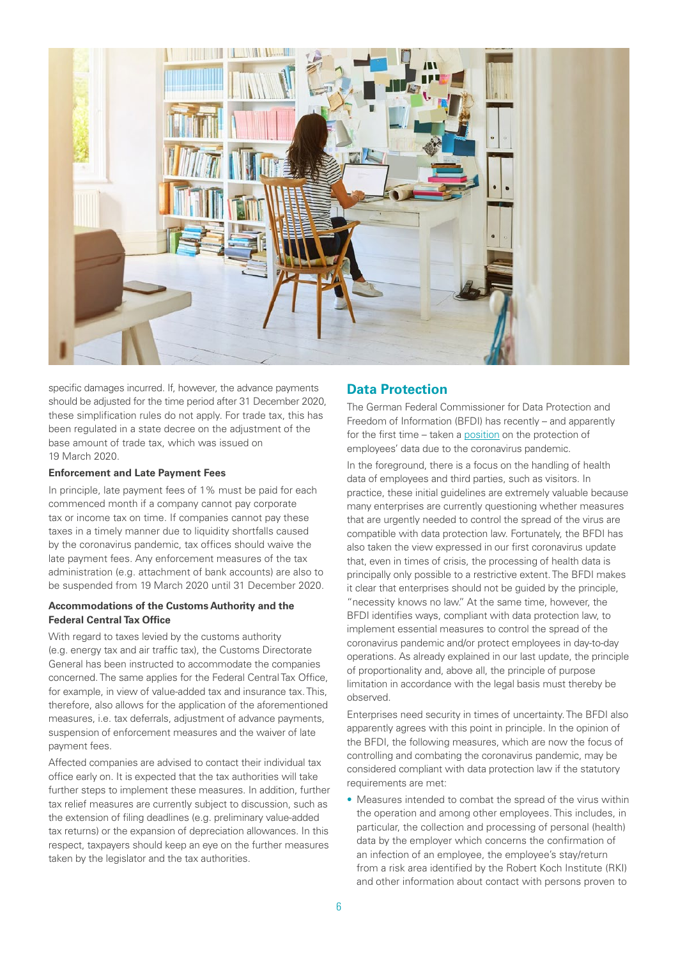<span id="page-5-0"></span>

specific damages incurred. If, however, the advance payments should be adjusted for the time period after 31 December 2020, these simplification rules do not apply. For trade tax, this has been regulated in a state decree on the adjustment of the base amount of trade tax, which was issued on 19 March 2020.

#### **Enforcement and Late Payment Fees**

In principle, late payment fees of 1% must be paid for each commenced month if a company cannot pay corporate tax or income tax on time. If companies cannot pay these taxes in a timely manner due to liquidity shortfalls caused by the coronavirus pandemic, tax offices should waive the late payment fees. Any enforcement measures of the tax administration (e.g. attachment of bank accounts) are also to be suspended from 19 March 2020 until 31 December 2020.

#### **Accommodations of the Customs Authority and the Federal Central Tax Office**

With regard to taxes levied by the customs authority (e.g. energy tax and air traffic tax), the Customs Directorate General has been instructed to accommodate the companies concerned. The same applies for the Federal Central Tax Office, for example, in view of value-added tax and insurance tax. This, therefore, also allows for the application of the aforementioned measures, i.e. tax deferrals, adjustment of advance payments, suspension of enforcement measures and the waiver of late payment fees.

Affected companies are advised to contact their individual tax office early on. It is expected that the tax authorities will take further steps to implement these measures. In addition, further tax relief measures are currently subject to discussion, such as the extension of filing deadlines (e.g. preliminary value-added tax returns) or the expansion of depreciation allowances. In this respect, taxpayers should keep an eye on the further measures taken by the legislator and the tax authorities.

#### **Data Protection**

The German Federal Commissioner for Data Protection and Freedom of Information (BFDI) has recently – and apparently for the first time – taken a [position](https://www.bfdi.bund.de/DE/Datenschutz/Themen/Gesundheit_Soziales/GesundheitSozialesArtikel/Datenschutz-in-Corona-Pandemie.html) on the protection of employees' data due to the coronavirus pandemic.

In the foreground, there is a focus on the handling of health data of employees and third parties, such as visitors. In practice, these initial guidelines are extremely valuable because many enterprises are currently questioning whether measures that are urgently needed to control the spread of the virus are compatible with data protection law. Fortunately, the BFDI has also taken the view expressed in our first coronavirus update that, even in times of crisis, the processing of health data is principally only possible to a restrictive extent. The BFDI makes it clear that enterprises should not be guided by the principle, "necessity knows no law." At the same time, however, the BFDI identifies ways, compliant with data protection law, to implement essential measures to control the spread of the coronavirus pandemic and/or protect employees in day-to-day operations. As already explained in our last update, the principle of proportionality and, above all, the principle of purpose limitation in accordance with the legal basis must thereby be observed.

Enterprises need security in times of uncertainty. The BFDI also apparently agrees with this point in principle. In the opinion of the BFDI, the following measures, which are now the focus of controlling and combating the coronavirus pandemic, may be considered compliant with data protection law if the statutory requirements are met:

• Measures intended to combat the spread of the virus within the operation and among other employees. This includes, in particular, the collection and processing of personal (health) data by the employer which concerns the confirmation of an infection of an employee, the employee's stay/return from a risk area identified by the Robert Koch Institute (RKI) and other information about contact with persons proven to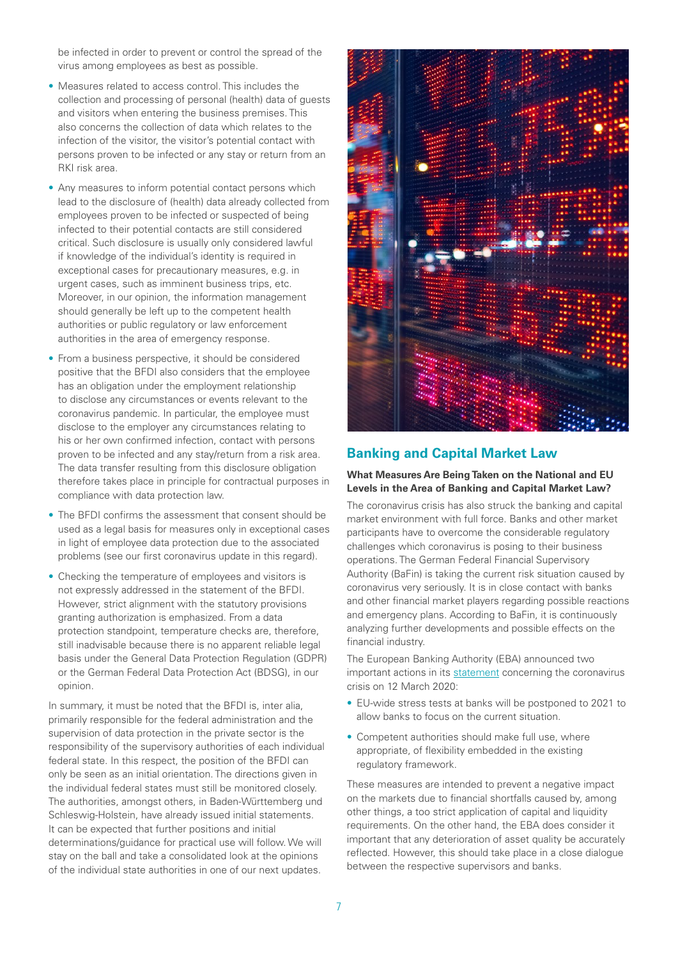<span id="page-6-0"></span>be infected in order to prevent or control the spread of the virus among employees as best as possible.

- Measures related to access control. This includes the collection and processing of personal (health) data of guests and visitors when entering the business premises. This also concerns the collection of data which relates to the infection of the visitor, the visitor's potential contact with persons proven to be infected or any stay or return from an RKI risk area.
- Any measures to inform potential contact persons which lead to the disclosure of (health) data already collected from employees proven to be infected or suspected of being infected to their potential contacts are still considered critical. Such disclosure is usually only considered lawful if knowledge of the individual's identity is required in exceptional cases for precautionary measures, e.g. in urgent cases, such as imminent business trips, etc. Moreover, in our opinion, the information management should generally be left up to the competent health authorities or public regulatory or law enforcement authorities in the area of emergency response.
- From a business perspective, it should be considered positive that the BFDI also considers that the employee has an obligation under the employment relationship to disclose any circumstances or events relevant to the coronavirus pandemic. In particular, the employee must disclose to the employer any circumstances relating to his or her own confirmed infection, contact with persons proven to be infected and any stay/return from a risk area. The data transfer resulting from this disclosure obligation therefore takes place in principle for contractual purposes in compliance with data protection law.
- The BFDI confirms the assessment that consent should be used as a legal basis for measures only in exceptional cases in light of employee data protection due to the associated problems (see our first coronavirus update in this regard).
- Checking the temperature of employees and visitors is not expressly addressed in the statement of the BFDI. However, strict alignment with the statutory provisions granting authorization is emphasized. From a data protection standpoint, temperature checks are, therefore, still inadvisable because there is no apparent reliable legal basis under the General Data Protection Regulation (GDPR) or the German Federal Data Protection Act (BDSG), in our opinion.

In summary, it must be noted that the BFDI is, inter alia, primarily responsible for the federal administration and the supervision of data protection in the private sector is the responsibility of the supervisory authorities of each individual federal state. In this respect, the position of the BFDI can only be seen as an initial orientation. The directions given in the individual federal states must still be monitored closely. The authorities, amongst others, in Baden-Württemberg und Schleswig-Holstein, have already issued initial statements. It can be expected that further positions and initial determinations/guidance for practical use will follow. We will stay on the ball and take a consolidated look at the opinions of the individual state authorities in one of our next updates.



## **Banking and Capital Market Law**

#### **What Measures Are Being Taken on the National and EU Levels in the Area of Banking and Capital Market Law?**

The coronavirus crisis has also struck the banking and capital market environment with full force. Banks and other market participants have to overcome the considerable regulatory challenges which coronavirus is posing to their business operations. The German Federal Financial Supervisory Authority (BaFin) is taking the current risk situation caused by coronavirus very seriously. It is in close contact with banks and other financial market players regarding possible reactions and emergency plans. According to BaFin, it is continuously analyzing further developments and possible effects on the financial industry.

The European Banking Authority (EBA) announced two important actions in its [statement](https://eba.europa.eu/eba-statement-actions-mitigate-impact-covid-19-eu-banking-sector) concerning the coronavirus crisis on 12 March 2020:

- EU-wide stress tests at banks will be postponed to 2021 to allow banks to focus on the current situation.
- Competent authorities should make full use, where appropriate, of flexibility embedded in the existing regulatory framework.

These measures are intended to prevent a negative impact on the markets due to financial shortfalls caused by, among other things, a too strict application of capital and liquidity requirements. On the other hand, the EBA does consider it important that any deterioration of asset quality be accurately reflected. However, this should take place in a close dialogue between the respective supervisors and banks.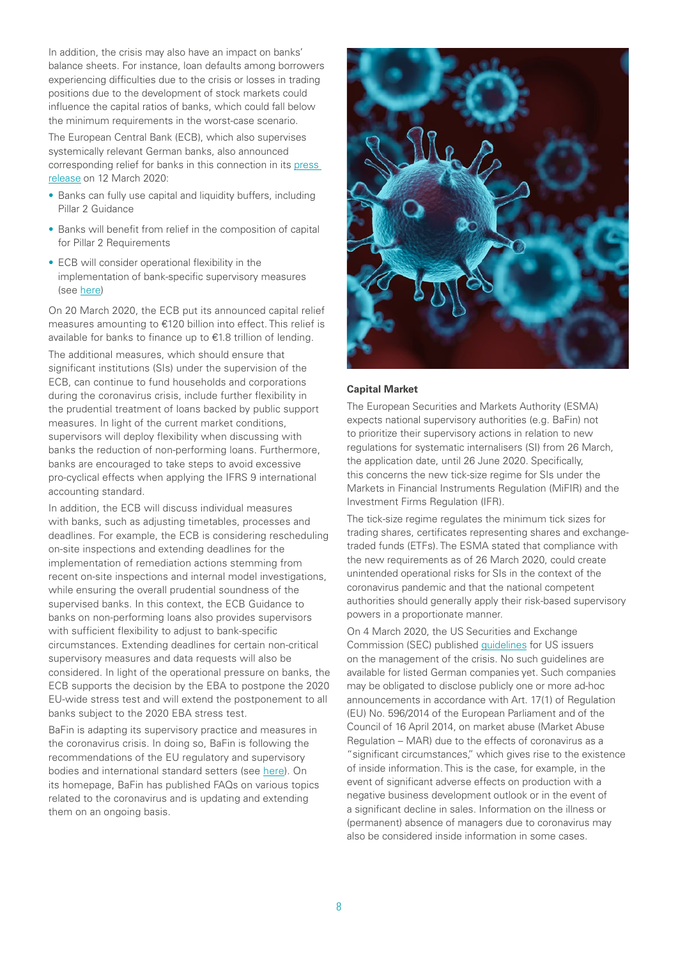In addition, the crisis may also have an impact on banks' balance sheets. For instance, loan defaults among borrowers experiencing difficulties due to the crisis or losses in trading positions due to the development of stock markets could influence the capital ratios of banks, which could fall below the minimum requirements in the worst-case scenario.

The European Central Bank (ECB), which also supervises systemically relevant German banks, also announced corresponding relief for banks in this connection in its press [release](https://www.ecb.europa.eu/press/pr/date/2020/html/ecb.pr200312~45417d8643.en.html) on 12 March 2020:

- Banks can fully use capital and liquidity buffers, including Pillar 2 Guidance
- Banks will benefit from relief in the composition of capital for Pillar 2 Requirements
- ECB will consider operational flexibility in the implementation of bank-specific supervisory measures (see [here](https://www.bundesbank.de/resource/blob/828160/f4959e11f0565257c462b4fffa1b9772/mL/2020-03-12-kapitalerleichterungen-download.pdf))

On 20 March 2020, the ECB put its announced capital relief measures amounting to €120 billion into effect. This relief is available for banks to finance up to €1.8 trillion of lending.

The additional measures, which should ensure that significant institutions (SIs) under the supervision of the ECB, can continue to fund households and corporations during the coronavirus crisis, include further flexibility in the prudential treatment of loans backed by public support measures. In light of the current market conditions, supervisors will deploy flexibility when discussing with banks the reduction of non-performing loans. Furthermore, banks are encouraged to take steps to avoid excessive pro-cyclical effects when applying the IFRS 9 international accounting standard.

In addition, the ECB will discuss individual measures with banks, such as adjusting timetables, processes and deadlines. For example, the ECB is considering rescheduling on-site inspections and extending deadlines for the implementation of remediation actions stemming from recent on-site inspections and internal model investigations, while ensuring the overall prudential soundness of the supervised banks. In this context, the ECB Guidance to banks on non-performing loans also provides supervisors with sufficient flexibility to adjust to bank-specific circumstances. Extending deadlines for certain non-critical supervisory measures and data requests will also be considered. In light of the operational pressure on banks, the ECB supports the decision by the EBA to postpone the 2020 EU-wide stress test and will extend the postponement to all banks subject to the 2020 EBA stress test.

BaFin is adapting its supervisory practice and measures in the coronavirus crisis. In doing so, BaFin is following the recommendations of the EU regulatory and supervisory bodies and international standard setters (see [here\)](https://www.bafin.de/SharedDocs/Veroeffentlichungen/DE/Pressemitteilung/2020/pm_200324_corona-krise_aufsichtliche_anforderungen.html;jsessionid=61614BC8F49F5243266BE29FC73012E1.1_cid361). On its homepage, BaFin has published FAQs on various topics related to the coronavirus and is updating and extending them on an ongoing basis.



#### **Capital Market**

The European Securities and Markets Authority (ESMA) expects national supervisory authorities (e.g. BaFin) not to prioritize their supervisory actions in relation to new regulations for systematic internalisers (SI) from 26 March, the application date, until 26 June 2020. Specifically, this concerns the new tick-size regime for SIs under the Markets in Financial Instruments Regulation (MiFIR) and the Investment Firms Regulation (IFR).

The tick-size regime regulates the minimum tick sizes for trading shares, certificates representing shares and exchangetraded funds (ETFs). The ESMA stated that compliance with the new requirements as of 26 March 2020, could create unintended operational risks for SIs in the context of the coronavirus pandemic and that the national competent authorities should generally apply their risk-based supervisory powers in a proportionate manner.

On 4 March 2020, the US Securities and Exchange Commission (SEC) published [guidelines](https://www.sec.gov/news/press-release/2020-53) for US issuers on the management of the crisis. No such guidelines are available for listed German companies yet. Such companies may be obligated to disclose publicly one or more ad-hoc announcements in accordance with Art. 17(1) of Regulation (EU) No. 596/2014 of the European Parliament and of the Council of 16 April 2014, on market abuse (Market Abuse Regulation – MAR) due to the effects of coronavirus as a "significant circumstances," which gives rise to the existence of inside information. This is the case, for example, in the event of significant adverse effects on production with a negative business development outlook or in the event of a significant decline in sales. Information on the illness or (permanent) absence of managers due to coronavirus may also be considered inside information in some cases.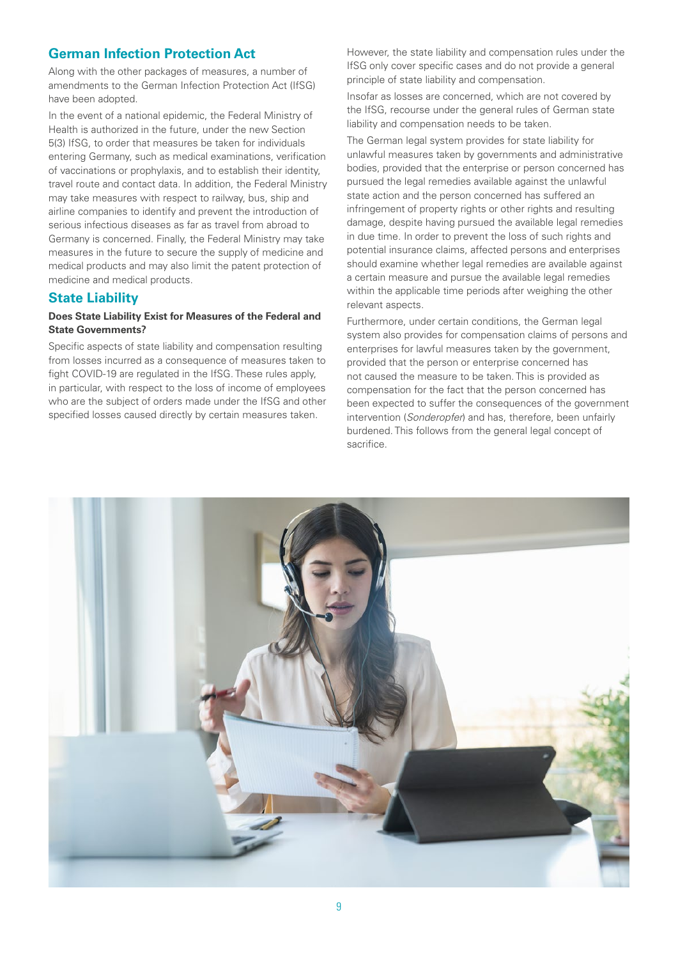## <span id="page-8-0"></span>**German Infection Protection Act**

Along with the other packages of measures, a number of amendments to the German Infection Protection Act (IfSG) have been adopted.

In the event of a national epidemic, the Federal Ministry of Health is authorized in the future, under the new Section 5(3) IfSG, to order that measures be taken for individuals entering Germany, such as medical examinations, verification of vaccinations or prophylaxis, and to establish their identity, travel route and contact data. In addition, the Federal Ministry may take measures with respect to railway, bus, ship and airline companies to identify and prevent the introduction of serious infectious diseases as far as travel from abroad to Germany is concerned. Finally, the Federal Ministry may take measures in the future to secure the supply of medicine and medical products and may also limit the patent protection of medicine and medical products.

#### **State Liability**

#### **Does State Liability Exist for Measures of the Federal and State Governments?**

Specific aspects of state liability and compensation resulting from losses incurred as a consequence of measures taken to fight COVID-19 are regulated in the IfSG. These rules apply, in particular, with respect to the loss of income of employees who are the subject of orders made under the IfSG and other specified losses caused directly by certain measures taken.

However, the state liability and compensation rules under the IfSG only cover specific cases and do not provide a general principle of state liability and compensation.

Insofar as losses are concerned, which are not covered by the IfSG, recourse under the general rules of German state liability and compensation needs to be taken.

The German legal system provides for state liability for unlawful measures taken by governments and administrative bodies, provided that the enterprise or person concerned has pursued the legal remedies available against the unlawful state action and the person concerned has suffered an infringement of property rights or other rights and resulting damage, despite having pursued the available legal remedies in due time. In order to prevent the loss of such rights and potential insurance claims, affected persons and enterprises should examine whether legal remedies are available against a certain measure and pursue the available legal remedies within the applicable time periods after weighing the other relevant aspects.

Furthermore, under certain conditions, the German legal system also provides for compensation claims of persons and enterprises for lawful measures taken by the government, provided that the person or enterprise concerned has not caused the measure to be taken. This is provided as compensation for the fact that the person concerned has been expected to suffer the consequences of the government intervention (*Sonderopfer*) and has, therefore, been unfairly burdened. This follows from the general legal concept of sacrifice.